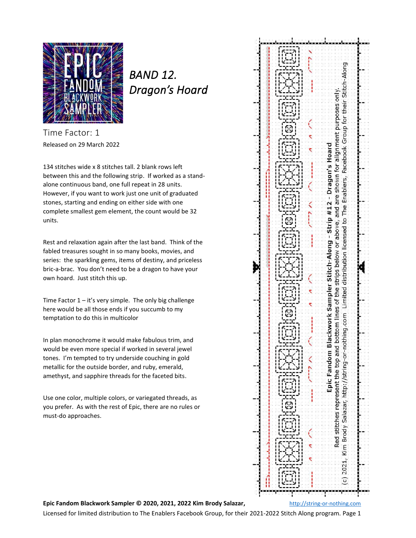

*BAND 12. Dragon's Hoard* 

Time Factor: 1 Released on 29 March 2022

134 stitches wide x 8 stitches tall. 2 blank rows left between this and the following strip. If worked as a standalone continuous band, one full repeat in 28 units. However, if you want to work just one unit of graduated stones, starting and ending on either side with one complete smallest gem element, the count would be 32 units.

Rest and relaxation again after the last band. Think of the fabled treasures sought in so many books, movies, and series: the sparkling gems, items of destiny, and priceless bric-a-brac. You don't need to be a dragon to have your own hoard. Just stitch this up.

Time Factor  $1 - it$ 's very simple. The only big challenge here would be all those ends if you succumb to my temptation to do this in multicolor

In plan monochrome it would make fabulous trim, and would be even more special if worked in several jewel tones. I'm tempted to try underside couching in gold metallic for the outside border, and ruby, emerald, amethyst, and sapphire threads for the faceted bits.

Use one color, multiple colors, or variegated threads, as you prefer. As with the rest of Epic, there are no rules or must-do approaches.



**Epic Fandom Blackwork Sampler © 2020, 2021, 2022 Kim Brody Salazar,** [http://string-or-nothing.com](http://string-or-nothing.com/)

Licensed for limited distribution to The Enablers Facebook Group, for their 2021-2022 Stitch Along program. Page 1